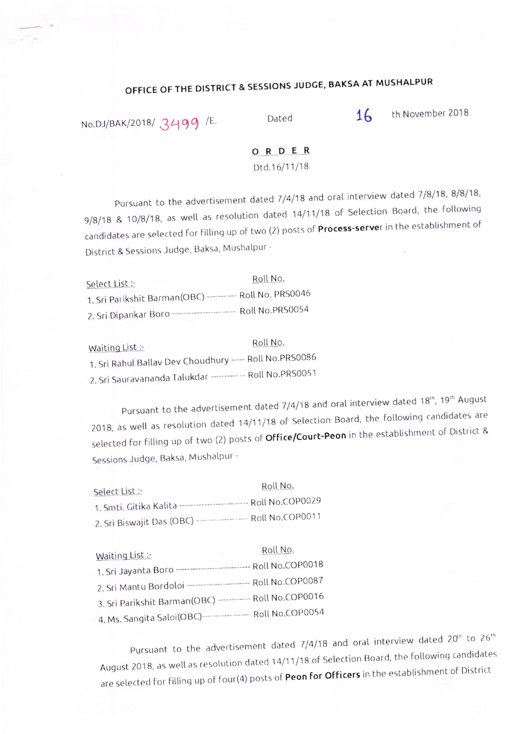## OFFICE OF THE DISTRICT & SESSIONS JUDGE, BAKSA AT MUSHALPUR

No.DJ/BAK/2018/  $3499$  /E. Dated 16 th November 2018

## ORDER

Dtd.16/11/18

Pursuant to the advertisement dated 7/4/18 and oral interview dated 7/8/18, 8/8/18, 9/8/18 & 10/8/18, as well as resolution dated 14/11/18 of Selection Board, the following candidates are selected for filling up of two (2) posts of Process-server in the establishment of District & Sessions Judge, Baksa, Mushalpur -

Roll No. Select List :-<br>1. Sri Parikshit Barman(OBC) ----------- Roll No. PRS0046 2. Sri Dipankar Boro ----------------------- Roll No.PRS0054

Waiting List :- Roll No. 1. Sri Rahul Ballav Dev Choudhury ----- Roll No.PR50086 2. Sri Sauravananda Talukdar --------- -- Roll No.PRS0051

Pursuant to the advertisement dated 7/4/18 and oral interview dated 18<sup>th</sup>, 19<sup>th</sup> August 2018, as well as resolution dated 14/11/18 of Selection Board, the following candidates are selected for filling up of two (2) posts of **Office/Court-Peon** in the establishment of District & Sessions Judge, Baksa, Mushalpur -

| Select List :-                                                     | Roll No. |
|--------------------------------------------------------------------|----------|
| 1. Smti. Gitika Kalita --------------------------- Roll No.COP0029 |          |
| 2. Sri Biswajit Das (OBC) ------------------- Roll No.COP0011      |          |

| Waiting List:                                                    | Roll No.<br><b>Contractor</b> |
|------------------------------------------------------------------|-------------------------------|
| 1. Sri Jayanta Boro ---------------------------- Roll No.COP0018 |                               |
| 2. Sri Mantu Bordoloi ----------------------- Roll No.COP0087    |                               |
| 3. Sri Parikshit Barman(OBC) ---------- Roll No.COP0016          |                               |
| 4. Ms. Sangita Saloi(OBC)----------------- Roll No.COP0054       |                               |

Pursuant to the advertisement dated  $7/4/18$  and oral interview dated 20<sup>th</sup> to 26<sup>th</sup> August 2018, as well as resolution dated 14/11/18 of Selection Board, the following candidates are selected for filling up of four(4) posts of Peon for Officers in the establishment of District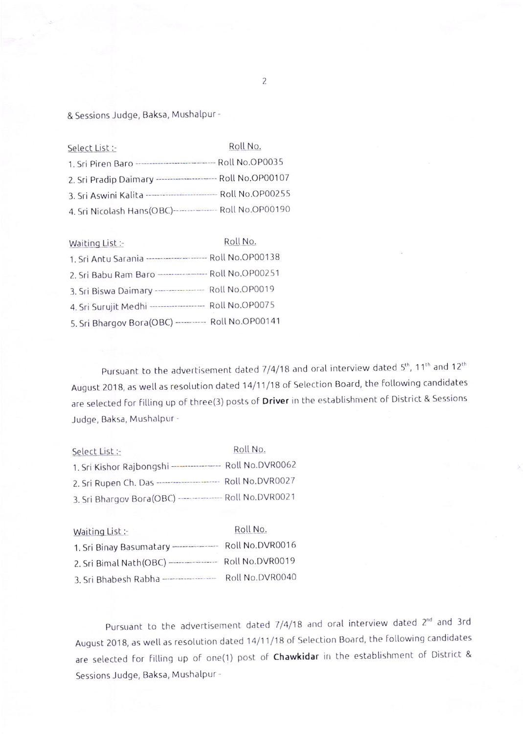& Sessions Judge, Baksa, Mushalpur -

| Select List :-                                                 | Roll No. |
|----------------------------------------------------------------|----------|
| 1. Sri Piren Baro ---------------------------- Roll No.OP0035  |          |
| 2. Sri Pradip Daimary ---------------------- Roll No.OP00107   |          |
| 3. Sri Aswini Kalita ------------------------- Roll No.OP00255 |          |
| 4. Sri Nicolash Hans(OBC)---------------- Roll No.OP00190      |          |

| Waiting List :-                                            | Roll No. |
|------------------------------------------------------------|----------|
| 1. Sri Antu Sarania ---------------------- Roll No.OP00138 |          |
| 2. Sri Babu Ram Baro ----------------- Roll No.OP00251     |          |
| 3. Sri Biswa Daimary ----------------- Roll No.OP0019      |          |
| 4. Sri Surujit Medhi ------------------- Roll No.OP0075    |          |
| 5. Sri Bhargov Bora(OBC) ---------- Roll No.OP00141        |          |

Pursuant to the advertisement dated  $7/4/18$  and oral interview dated  $5<sup>th</sup>$ , 11<sup>th</sup> and 12<sup>th</sup> August 2018, as well as resolution dated 14/11/18 of Selection Board, the following candidates are selected for filling up of three(3) posts of Driver in the establishment of District & Sessions Judge, Baksa, Mushalpur -

| Select List :-                                              | Roll No. |  |
|-------------------------------------------------------------|----------|--|
| 1. Sri Kishor Rajbongshi ----------------- Roll No.DVR0062  |          |  |
| 2. Sri Rupen Ch. Das ---------------------- Roll No.DVR0027 |          |  |
| 3. Sri Bhargov Bora(OBC) --------------- Roll No.DVR0021    |          |  |

| Waiting List:-                          | Roll No.        |
|-----------------------------------------|-----------------|
| 1. Sri Binay Basumatary --------------  | Roll No.DVR0016 |
| 2. Sri Bimal Nath(OBC) ---------------- | Roll No.DVR0019 |
| 3. Sri Bhabesh Rabha ---------------    | Roll No.DVR0040 |

Pursuant to the advertisement dated 7/4/18 and oral interview dated 2<sup>nd</sup> and 3rd August 2018, as well as resolution dated 14/11/18 of Selection Board, the following candidates are selected for filling up of one(1) post of Chawkidar in the establishment of District & Sessions Judge, Baksa, Mushalpur -